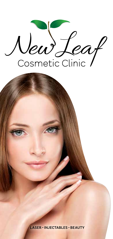New Leaf

**LASER · INJECTABLES · BEAUTY**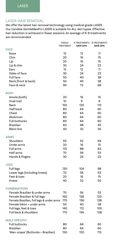# LASER HAIR REMOVAL

We offer the latest hair removal technology using medical grade LASER. Our Candela GentleMaxPro LASER is suitable for ALL skin types. Effective hair reduction is achieved in fewer sessions. An average of 6-8 treatments are recommended.

|                                          | <b>SINGLE</b><br>TREATMENT | <b>6 TREATMENTS</b><br><b>SAVE 20%</b> | 8 TREATMENTS<br><b>SAVE 25%</b> |
|------------------------------------------|----------------------------|----------------------------------------|---------------------------------|
| <b>FACE</b>                              |                            |                                        |                                 |
| Nose                                     | 15                         | 12                                     | 11                              |
| Chin                                     | 20                         | 16                                     | 15                              |
| Lip                                      | 20                         | 16                                     | 15                              |
| Lip & chin                               | 30                         | 24                                     | 23                              |
| Ears                                     | 15                         | 12                                     | 11                              |
| Sides of face                            | 30                         | 24                                     | 23                              |
| <b>Full face</b>                         | 50                         | 40                                     | 38                              |
| Neck (front & back)                      | 50                         | 40                                     | 38                              |
| Face & neck                              | 90                         | 72                                     | 68                              |
| <b>BODY</b>                              |                            |                                        |                                 |
| Areola (both)                            | 20                         | 16                                     | 15                              |
| Snail trail                              | 10                         | 9                                      | 8                               |
| Back                                     | 150                        | 120                                    | 113                             |
| Half back                                | 80                         | 64                                     | 60                              |
| Chest                                    | 80                         | 64                                     | 60                              |
| Abdomen                                  | 80                         | 64                                     | 60                              |
| <b>Full buttocks</b>                     | 80                         | 64                                     | 60                              |
| <b>Brazilian</b>                         | 60                         | 48                                     | 45                              |
| <b>Bikini line</b>                       | 40                         | 32                                     | 30                              |
| <b>ARMS</b>                              |                            |                                        |                                 |
| Shoulders                                | 65                         | 52                                     | 49                              |
| Under arms                               | 20                         | 16                                     | 15                              |
| Full arms                                | 110                        | 88                                     | 83                              |
| Half arms                                | 70                         | 56                                     | 53                              |
| Hands & fingers                          | 30                         | 24                                     | 23                              |
| <b>LEGS</b>                              |                            |                                        |                                 |
| Full legs                                | 130                        | 104                                    | 98                              |
| Lower legs (including knees)             | 70                         | 56                                     | 53                              |
| Feet & toes                              | 20                         | 16                                     | 15                              |
| Knees                                    | 40                         | 32                                     | 30                              |
| <b>COMBINATIONS</b>                      |                            |                                        |                                 |
| Female Brazilian & under arms            | 70                         | 56                                     | 53                              |
| Female Brazilian & full legs             | 160                        | 128                                    | 120                             |
| Female Brazilian, full legs & under arms | 170                        | 136                                    | 128                             |
| Female bikini + under arms               | 50                         | 40                                     | 38                              |
| Full legs, feet & toes                   | 140                        | 112                                    | 105                             |
| Full back & shoulders                    | 170                        | 136                                    | 128                             |
| <b>MALE SPECIFIC</b>                     |                            |                                        |                                 |
| <b>Full buttocks</b>                     | 80                         | 64                                     | 60                              |
| <b>Brazilian</b>                         | 80                         | 64                                     | 60                              |
| 'Man-scape' (Buttocks + Brazilian)       | 150                        | 120                                    | 113                             |
|                                          |                            |                                        |                                 |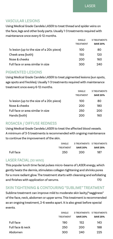# VASCULAR LESIONS

Using Medical Grade Candela LASER to treat thread and spider veins on the face, legs and other body parts. Usually 1-3 treatments required with maintenance once every 6-12 months.

|                                           | SINGI F<br><b>TREATMENT</b> | 3 TREATMENTS<br><b>SAVE 20%</b> |
|-------------------------------------------|-----------------------------|---------------------------------|
| 1x lesion (up to the size of a 20c piece) | 100                         | 80                              |
| Cheek area (both)                         | 150                         | 120                             |
| Nose & cheeks                             | 200                         | 160                             |
| Full face or area similar in size         | 300                         | 240                             |

# PIGMENTED LESIONS

Using Medical Grade Candela LASER to treat pigmented lesions (sun spots, age spots and freckles). Usually 1-3 treatments required with maintenance treatment once every 6-12 months.

|                                           | SINGLE           | <b>3 TREATMENTS</b> |
|-------------------------------------------|------------------|---------------------|
|                                           | <b>TREATMENT</b> | <b>SAVE 20%</b>     |
| 1x lesion (up to the size of a 20c piece) | 100              | 80                  |
| Nose & cheeks                             | 200              | 180                 |
| Full face or area similar in size         | 250              | 200                 |
| Hands (both)                              | 200              | 160                 |

# ROSACEA / DIFFUSE REDNESS

Using Medical Grade Candela LASER to treat the affected blood vessels. A minimum of 3-5 treatments is recommended with ongoing maintenance to continue the improvement of the skin.

|           | SINGLE <sup>1</sup> | 3 TREATMENTS 5 TREATMENTS |                 |
|-----------|---------------------|---------------------------|-----------------|
|           | <b>TRFATMENT</b>    | <b>SAVE 20%</b>           | <b>SAVE 25%</b> |
| Full face | 250                 | 200                       | 187             |

# LASER FACIAL (30 MINS)

This popular lunch time facial pulses micro–beams of LASER energy, which gently heats the dermis, stimulates collagen tightening and shrinks pores for a more radiant glow. The treatment starts with cleansing and exfoliating and finishes with application of serums. 170

# SKIN TIGHTENING & CONTOURING "SUBLIME" TREATMENT

Sublime treatment can improve mild to moderate skin laxity/"sagginess" of the face, neck, abdomen or upper arms. This treatment is recommended as an ongoing treatment, 2-6 weeks apart. It is also great before special events.

|                  | SINGLE           |                 | 3 TREATMENTS 5 TREATMENTS |
|------------------|------------------|-----------------|---------------------------|
|                  | <b>TREATMENT</b> | <b>SAVE 20%</b> | <b>SAVE 25%</b>           |
| Full face        | 190              | 152             | 143                       |
| Full face & neck | 250              | 200             | 188                       |
| Abdomen          | 300              | 240             | 225                       |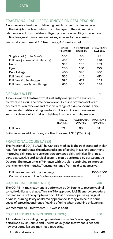## FRACTIONAL RADIOFREQUENCY SKIN RESURFACING

A non-invasive treatment, delivering heat to target the deeper layer of the skin (dermal layer) whilst the outer layer of the skin remains relatively intact. It stimulates collagen production resulting in reduction of fine lines, mild to moderate wrinkles, acne and acne scarring.

We usually recommend 4-6 treatments, 4-6 weeks apart.

|                                       | SINGLE<br><b>TREATMENT</b> | <b>4 TREATMENTS</b><br><b>SAVE 20%</b> | <b>6 TREATMENTS</b><br><b>SAVE 25%</b> |
|---------------------------------------|----------------------------|----------------------------------------|----------------------------------------|
| Single spot (up to 4cm <sup>2</sup> ) | 100                        | 80                                     | 75                                     |
| Full face (or area of similar size)   | 450                        | 360                                    | 338                                    |
| Neck                                  | 350                        | 280                                    | 263                                    |
| Eyes                                  | 200                        | 160                                    | 150                                    |
| Décolletage                           | 400                        | 320                                    | 300                                    |
| Full face & neck                      | 550                        | 440                                    | 413                                    |
| Full face & décolletage               | 590                        | 472                                    | 443                                    |
| Full face, neck & décolletage         | 650                        | 520                                    | 488                                    |

## DERMALUX LED 99

A non–invasive treatment that instantly energises the skin cells to revitalise a dull and tired complexion. A course of treatments can accelerate skin renewal and resolve a range of skin concerns: acne, rosacea, dermatitis and pigmentation. It is also known to increase serotonin levels, which helps in fighting low mood and depression.

|           | SINGLE<br><b>TREATMENT</b> | <b>SAVE 10%</b> | POWER PLAN 6 POWER PLAN 8<br><b>SAVE 15%</b> |
|-----------|----------------------------|-----------------|----------------------------------------------|
| Full face | 99                         | 89              | 84                                           |
|           |                            |                 |                                              |

Suitable as an add on to any another treatment \$50 (20 mins)

# FRACTIONAL CO<sub>2</sub>RE LASER

The Fractional CO<sub>2</sub>RE LASER by Candela Medical is the gold standard in skin resurfacing and treats the advanced signs of ageing in a single treatment. Improving skin tone and texture, sun damaged skin, wrinkles, fine lines, acne scars, striae and surgical scars. It is only performed by our Cosmetic Doctors. The down time is 7-14 days, with the skin continuing to improve over the next 4-6 months. Treatments range from mild to aggressive.

| Full face rejuvenation price range                           | 1000-3500 |
|--------------------------------------------------------------|-----------|
| Consultation with the Doctor (redeemable off treatment cost) | 75        |

# CO<sub>2</sub>RE INTIMA (PER TREATMENT) 750

The CO<sub>2</sub>RE Intima treatment is performed by Dr Bonnie to restore vaginal tone, flexibility and shape. This is a TGA approved LASER energy procedure to treat some of the symptoms of childbirth or menopause eg. vaginal dryness, burning, laxity or altered appearance. It may also help in some cases of stress incontinence (leaking of urine when coughing or laughing).

We recommend 3 treatments, 4-6 weeks apart

# CO<sub>2</sub>RE LASER TREATMENTS (SINGLE LESION) 250

All treatments including; benign skin lesions, moles & skin tags, are performed by Dr Bonnie and Dr Alex. Usually one treatment is needed, however some lesions may need retreating.

Additional lesions and the control of the control of the from 40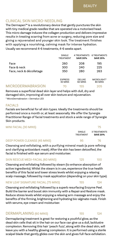## CLINICAL SKIN MICRO-NEEDLING

The Dermapen™ is a revolutionary device that gently punctures the skin with tiny medical grade needles that are operated via a motorised head. This micro damage induces the collagen production and delivers impressive results in treating scarring from acne or surgery, reducing pore size and giving a rejuvenated and younger skin look. The treatment finishes with applying a nourishing, calming mask for intense hydration. Usually we recommend 4-6 treatments, 4-6 weeks apart.

|                          | SINGLE<br><b>TREATMENT</b> | <b>4 TREATMENTS</b><br><b>SAVE 20%</b> | <b>6 TREATMENTS</b><br><b>SAVE 25%</b> |
|--------------------------|----------------------------|----------------------------------------|----------------------------------------|
| Face                     | 260                        | 208                                    | 195                                    |
| Face & neck              | 300                        | 240                                    | 225                                    |
| Face, neck & décolletage | 350                        | 280                                    | 263                                    |
|                          | <b>EXPRESS</b><br>30 MINS  | DELUXE<br>60 MINS                      | MICROLIGHT*<br>80 MINS                 |
| MICRODERMABRASION        | 70                         | 155                                    | 205                                    |

Removes a superficial dead skin layer and helps with dull, dry and damaged skin, improving all over skin texture and rejuvenation. \* MicroDermabrasion + Dermalux LED

### **FACIALS**

Facials are beneficial for all skin types. Ideally the treatments should be performed once a month or, at least seasonally. We offer the Synergie Practitioner Range of facial treatments and stock a wide range of Synergie Skin products.

| MINI FACIAL (30 MINS)        |                     | 75                              |
|------------------------------|---------------------|---------------------------------|
|                              | SINGLE<br>TREATMENT | 3 TREATMENTS<br><b>SAVE 20%</b> |
| DEEP POWER CLEANSE (45 MINS) | 95                  | 76.                             |

Cleansing and exfoliating, with a purifying mineral mask (a pore refining and clarifying antioxidant mask). After the skin has been detoxified, the facial is finished with eye serum and moisturiser.

#### SKIN RESCUE MEDI-FACIAL (60 MINS) 125 100

Cleansing and exfoliating followed by steam (to enhance absorption of active ingredients). Whilst the steam is in use, experience the true health benefits of this facial and lower stress levels whilst enjoying a relaxing scalp massage, followed by mask application (depending on your skin type).

#### NEW LEAF SIGNATURE FACIAL (75 MINS)

Cleansing and exfoliating followed by a superb resurfacing Enzyme Peel. Build the barrier and boost skin immunity with a Repair and Restore mask. Reduce stress levels whilst enjoying a relaxing arm massage and enjoy the benefits of the firming, brightening and hydrating bio-alginate mask. Finish with serums, eye cream and moisturiser.

## DERMAPLANING (60 MINS) 155 124

Dermaplaning treatment is great for restoring a youthful glow, as the dead skin cells that sit in the hair on our face can give us a dull, lacklustre complexion. Removing this hair 'peach fuzz', along with the dead skin, will leave you with a healthy glowing complexion. It is performed using a sterile scalpel blade that gently glides over the skin and gives full-face exfoliation.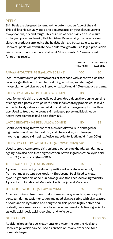## PEELS

Skin Peels are designed to remove the outermost surface of the skin. This cell layer is actually dead and accumulates on your skin, causing it to appear dull, dry and rough. This build up of dead skin can also result in clogged pores and unsightly blemishes. By removing the layer of dead skin, the products applied to the healthy skin are better able to absorb. Chemical peels will stimulate new epidermal growth & collagen production.

We do recommend a course of at least 3 treatments, 2-4 weeks apart for optimal results

# TREATMENT **SAVE 20%** PAPAYA HYDRATION PEEL (ALLOW 30 MINS) 100 80

Ideal introduction to peel treatments or for those with sensitive skin that require a gentle touch. Used to treat: Dry, sensitive, sun damaged or hyper-pigmented skin. Active ingredients: lactic acid (15%) + papaya enzyme.

#### SALICYLIC PURIFYING PEEL (ALLOW 30 MINS) 110 88

Ideal for acneic skin, the salicylic peel provides a deep, thorough cleansing of congested pores. With powerful anti-inflammatory properties, salicylic acid effectively calms a sore red skin and helps manage any further flare ups. Used to treat: Acne prone skin, enlarged pores and blackheads. Active ingredients: salicylic acid (from 5%).

#### LACTIC BRIGHTENING PEEL (ALLOW 30 MINS) 110 88

Gentle exfoliating treatment that aids dehydrated, sun damaged or pigmented skin Used to treat: Dry and lifeless skin, sun damage, hyper-pigmented skin, aging. Active ingredients: lactic acid (from 20%)

### SALICYLIC & LACTIC LAYERED PEEL (ALLOW 45 MINS) 140 112

Used to treat: Acne prone skin, enlarged pores, blackheads, sun damage, ageing, can also help treat pigmentation. Active ingredients: salicylic acid (from 5%) + lactic acid (from 20%).

#### TETRA ACID PEEL (ALLOW 45 MINS) 140 112

A powerful resurfacing treatment positioned as a step down only from our most potent peel option - The Jessner Peel. Used to treat: hyper-pigmentation, acne, sun damage and fine lines. Active ingredients: A potent combination of Mandelic, Lactic, Kojic and Malic acid.

### JESSNER POWER PEEL (ALLOW 45 MINS) 160 128

Advanced clinical treatment that addresses progressed stages of cystic acne, sun damage, pigmentation and aged skin. Assisting with skin texture, discolouration, hydration and congestion, this peel is highly active and is ideally performed as a course to achieve best results. Active ingredients: salicylic acid, lactic acid, resorcinol and kojic acid.

#### OTHER AREAS FROM 30

Additional areas for peel treatments or a mask include the Neck and Décolletage, which can be used as an 'Add on' to any other peel for a nominal charge.

SINGLE 3 TREATMENTS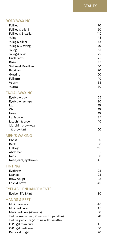# BODY WAXING

| Full leg                                | 70       |
|-----------------------------------------|----------|
| Full leg & bikini                       | 90       |
| Full leg & Brazilian                    | 110      |
| $\frac{1}{2}$ leg                       | 45       |
| 1/2 leg & bikini                        | 65       |
| 1/2 leg & G-string                      | 70       |
| <sup>3</sup> / <sub>4</sub> leg         | 55       |
|                                         | 75       |
| 3/4 leg & bikini                        |          |
| Under arm                               | 25       |
| <b>Bikini</b>                           | 35       |
| 3-4 week Brazilian                      | 50       |
| Brazilian                               | 70       |
| G-string                                | 50       |
| Full arm                                | 40       |
| $\frac{3}{4}$ arm                       | 35       |
| $\frac{1}{2}$ arm                       | 30       |
|                                         |          |
| <b>FACIAL WAXING</b>                    |          |
| Eyebrow tidy                            | 25       |
| Eyebrow reshape                         | 30       |
| Lip                                     | 15       |
| Chin                                    | 15       |
| Nose                                    | 15       |
| Lip & brow                              | 35       |
| Lip, chin & brow                        | 40       |
| Lip, chin, brow wax                     |          |
| & brow tint                             | 50       |
|                                         |          |
| <b>MEN'S WAXING</b>                     |          |
| Chest                                   | 60       |
| Back                                    | 60       |
| Full leg                                | 110      |
| Abdomen                                 | 35       |
| Neck                                    | 30       |
| Nose, ears, eyebrows                    | 45       |
|                                         |          |
| <b>TINTING</b>                          |          |
| Eyebrow                                 | 23       |
| Lashes                                  | 23       |
| Brow sculpt                             | 35       |
| Lash & brow                             | 40       |
|                                         |          |
| <b>EYELASH ENHANCEMENTS</b>             |          |
| Eyelash lift & tint                     | 80       |
| <b>HANDS &amp; FEET</b>                 |          |
|                                         |          |
| Mini manicure                           | 40<br>45 |
| Mini pedicure                           |          |
| Medi pedicure (45 mins)                 | 50       |
| Deluxe manicure (60 mins with paraffin) | 70       |
| Deluxe pedicure (75 mins with paraffin) | 85       |
| O.P.I gel manicure                      | 45       |
| O.P.I gel pedicure                      | 50       |
| Removal of gel                          | 20       |